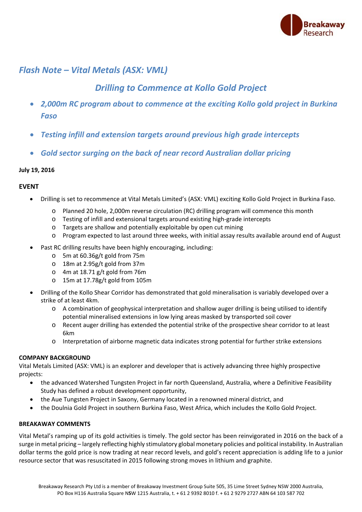

## *Flash Note – Vital Metals (ASX: VML)*

# *Drilling to Commence at Kollo Gold Project*

- *2,000m RC program about to commence at the exciting Kollo gold project in Burkina Faso*
- *Testing infill and extension targets around previous high grade intercepts*
- *Gold sector surging on the back of near record Australian dollar pricing*

## **July 19, 2016**

## **EVENT**

- Drilling is set to recommence at Vital Metals Limited's (ASX: VML) exciting Kollo Gold Project in Burkina Faso.
	- o Planned 20 hole, 2,000m reverse circulation (RC) drilling program will commence this month
	- o Testing of infill and extensional targets around existing high‐grade intercepts
	- o Targets are shallow and potentially exploitable by open cut mining
	- o Program expected to last around three weeks, with initial assay results available around end of August
- Past RC drilling results have been highly encouraging, including:
	- o 5m at 60.36g/t gold from 75m
	- o 18m at 2.95g/t gold from 37m
	- o 4m at 18.71 g/t gold from 76m
	- o 15m at 17.78g/t gold from 105m
- Drilling of the Kollo Shear Corridor has demonstrated that gold mineralisation is variably developed over a strike of at least 4km.
	- o A combination of geophysical interpretation and shallow auger drilling is being utilised to identify potential mineralised extensions in low lying areas masked by transported soil cover
	- o Recent auger drilling has extended the potential strike of the prospective shear corridor to at least 6km
	- o Interpretation of airborne magnetic data indicates strong potential for further strike extensions

## **COMPANY BACKGROUND**

Vital Metals Limited (ASX: VML) is an explorer and developer that is actively advancing three highly prospective projects:

- the advanced Watershed Tungsten Project in far north Queensland, Australia, where a Definitive Feasibility Study has defined a robust development opportunity,
- the Aue Tungsten Project in Saxony, Germany located in a renowned mineral district, and
- the Doulnia Gold Project in southern Burkina Faso, West Africa, which includes the Kollo Gold Project.

## **BREAKAWAY COMMENTS**

Vital Metal's ramping up of its gold activities is timely. The gold sector has been reinvigorated in 2016 on the back of a surge in metal pricing – largely reflecting highly stimulatory global monetary policies and political instability. In Australian dollar terms the gold price is now trading at near record levels, and gold's recent appreciation is adding life to a junior resource sector that was resuscitated in 2015 following strong moves in lithium and graphite.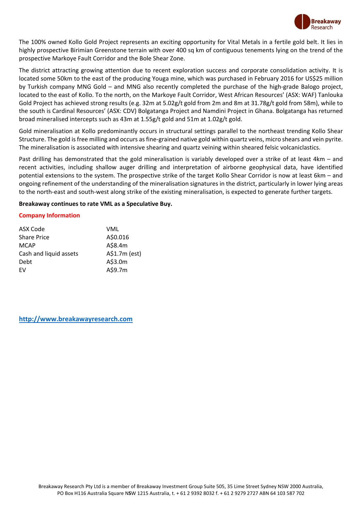

The 100% owned Kollo Gold Project represents an exciting opportunity for Vital Metals in a fertile gold belt. It lies in highly prospective Birimian Greenstone terrain with over 400 sq km of contiguous tenements lying on the trend of the prospective Markoye Fault Corridor and the Bole Shear Zone.

The district attracting growing attention due to recent exploration success and corporate consolidation activity. It is located some 50km to the east of the producing Youga mine, which was purchased in February 2016 for US\$25 million by Turkish company MNG Gold – and MNG also recently completed the purchase of the high-grade Balogo project, located to the east of Kollo. To the north, on the Markoye Fault Corridor, West African Resources' (ASX: WAF) Tanlouka Gold Project has achieved strong results (e.g. 32m at 5.02g/t gold from 2m and 8m at 31.78g/t gold from 58m), while to the south is Cardinal Resources' (ASX: CDV) Bolgatanga Project and Namdini Project in Ghana. Bolgatanga has returned broad mineralised intercepts such as 43m at 1.55g/t gold and 51m at 1.02g/t gold.

Gold mineralisation at Kollo predominantly occurs in structural settings parallel to the northeast trending Kollo Shear Structure. The gold is free milling and occurs as fine‐grained native gold within quartz veins, micro shears and vein pyrite. The mineralisation is associated with intensive shearing and quartz veining within sheared felsic volcaniclastics.

Past drilling has demonstrated that the gold mineralisation is variably developed over a strike of at least 4km – and recent activities, including shallow auger drilling and interpretation of airborne geophysical data, have identified potential extensions to the system. The prospective strike of the target Kollo Shear Corridor is now at least 6km – and ongoing refinement of the understanding of the mineralisation signatures in the district, particularly in lower lying areas to the north‐east and south‐west along strike of the existing mineralisation, is expected to generate further targets.

#### **Breakaway continues to rate VML as a Speculative Buy.**

#### **Company Information**

| ASX Code               | VML           |
|------------------------|---------------|
| <b>Share Price</b>     | A\$0.016      |
| <b>MCAP</b>            | A\$8.4m       |
| Cash and liquid assets | A\$1.7m (est) |
| Debt                   | A\$3.0m       |
| FV                     | A\$9.7m       |

**http://www.breakawayresearch.com**